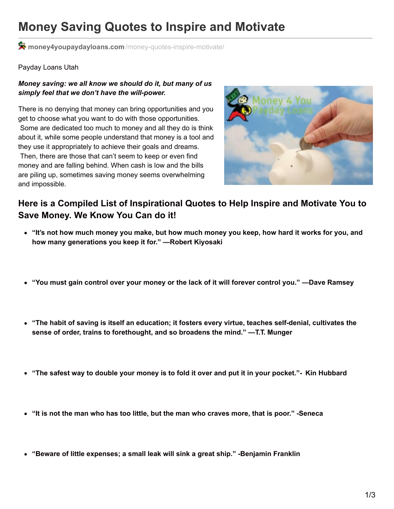## **Money Saving Quotes to Inspire and Motivate**

**money4youpaydayloans.com**[/money-quotes-inspire-motivate/](https://money4youpaydayloans.com/money-quotes-inspire-motivate/)

Payday Loans Utah

## *Money saving: we all know we should do it, but many of us simply feel that we don't have the will-power.*

There is no denying that money can bring opportunities and you get to choose what you want to do with those opportunities. Some are dedicated too much to money and all they do is think about it, while some people understand that money is a tool and they use it appropriately to achieve their goals and dreams. Then, there are those that can't seem to keep or even find money and are falling behind. When cash is low and the bills are piling up, sometimes saving money seems overwhelming and impossible.



## **Here is a Compiled List of Inspirational Quotes to Help Inspire and Motivate You to Save Money. We Know You Can do it!**

- "It's not how much money you make, but how much money you keep, how hard it works for you, and **how many generations you keep it for." —Robert Kiyosaki**
- **"You must gain control over your money or the lack of it will forever control you." —Dave Ramsey**
- **"The habit of saving is itself an education; it fosters every virtue, teaches self-denial, cultivates the sense of order, trains to forethought, and so broadens the mind." —T.T. Munger**
- "The safest way to double your money is to fold it over and put it in your pocket."- Kin Hubbard
- **"It is not the man who has too little, but the man who craves more, that is poor." -Seneca**
- **"Beware of little expenses; a small leak will sink a great ship." -Benjamin Franklin**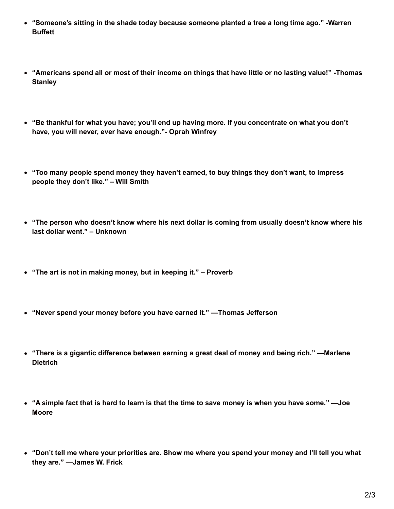- **"Someone's sitting in the shade today because someone planted a tree a long time ago." -Warren Buffett**
- "Americans spend all or most of their income on things that have little or no lasting value!" -Thomas **Stanley**
- **"Be thankful for what you have; you'll end up having more. If you concentrate on what you don't have, you will never, ever have enough."- Oprah Winfrey**
- **"Too many people spend money they haven't earned, to buy things they don't want, to impress people they don't like." – Will Smith**
- **"The person who doesn't know where his next dollar is coming from usually doesn't know where his last dollar went." – Unknown**
- **"The art is not in making money, but in keeping it." – Proverb**
- **"Never spend your money before you have earned it." —Thomas Jefferson**
- **"There is a gigantic difference between earning a great deal of money and being rich." —Marlene Dietrich**
- "A simple fact that is hard to learn is that the time to save money is when you have some." Joe **Moore**
- "Don't tell me where your priorities are. Show me where you spend your money and I'll tell you what **they are." —James W. Frick**